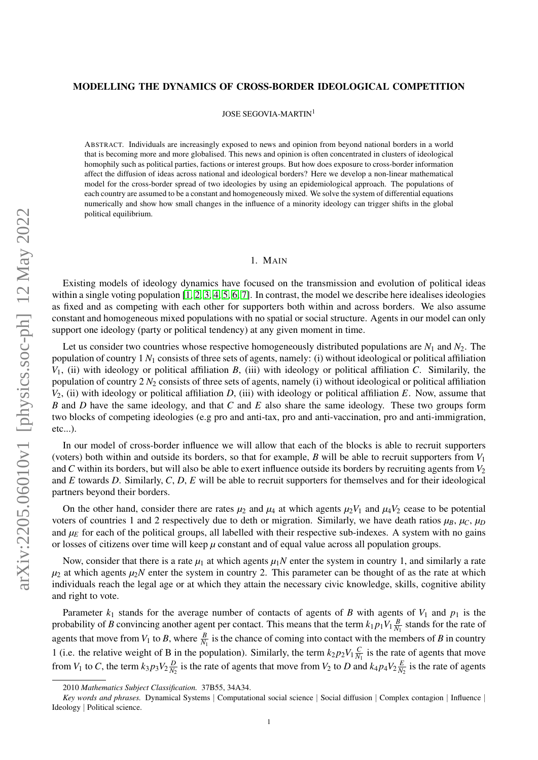# MODELLING THE DYNAMICS OF CROSS-BORDER IDEOLOGICAL COMPETITION

JOSE SEGOVIA-MARTIN<sup>1</sup>

ABSTRACT. Individuals are increasingly exposed to news and opinion from beyond national borders in a world that is becoming more and more globalised. This news and opinion is often concentrated in clusters of ideological homophily such as political parties, factions or interest groups. But how does exposure to cross-border information affect the diffusion of ideas across national and ideological borders? Here we develop a non-linear mathematical model for the cross-border spread of two ideologies by using an epidemiological approach. The populations of each country are assumed to be a constant and homogeneously mixed. We solve the system of differential equations numerically and show how small changes in the influence of a minority ideology can trigger shifts in the global political equilibrium.

## 1. MAIN

Existing models of ideology dynamics have focused on the transmission and evolution of political ideas within a single voting population [\[1,](#page-4-0) [2,](#page-4-1) [3,](#page-4-2) [4,](#page-4-3) [5,](#page-4-4) [6,](#page-4-5) [7\]](#page-4-6). In contrast, the model we describe here idealises ideologies as fixed and as competing with each other for supporters both within and across borders. We also assume constant and homogeneous mixed populations with no spatial or social structure. Agents in our model can only support one ideology (party or political tendency) at any given moment in time.

Let us consider two countries whose respective homogeneously distributed populations are  $N_1$  and  $N_2$ . The population of country 1 *N*<sup>1</sup> consists of three sets of agents, namely: (i) without ideological or political affiliation *V*1, (ii) with ideology or political affiliation *B*, (iii) with ideology or political affiliation *C*. Similarily, the population of country 2 *N*<sup>2</sup> consists of three sets of agents, namely (i) without ideological or political affiliation *V*2, (ii) with ideology or political affiliation *D*, (iii) with ideology or political affiliation *E*. Now, assume that *B* and *D* have the same ideology, and that *C* and *E* also share the same ideology. These two groups form two blocks of competing ideologies (e.g pro and anti-tax, pro and anti-vaccination, pro and anti-immigration, etc...).

In our model of cross-border influence we will allow that each of the blocks is able to recruit supporters (voters) both within and outside its borders, so that for example, *B* will be able to recruit supporters from  $V_1$ and *C* within its borders, but will also be able to exert influence outside its borders by recruiting agents from *V*<sup>2</sup> and *E* towards *D*. Similarly, *C*, *D*, *E* will be able to recruit supporters for themselves and for their ideological partners beyond their borders.

On the other hand, consider there are rates  $\mu_2$  and  $\mu_4$  at which agents  $\mu_2V_1$  and  $\mu_4V_2$  cease to be potential voters of countries 1 and 2 respectively due to deth or migration. Similarly, we have death ratios  $\mu_B$ ,  $\mu_C$ ,  $\mu_D$ and  $\mu_E$  for each of the political groups, all labelled with their respective sub-indexes. A system with no gains or losses of citizens over time will keep  $\mu$  constant and of equal value across all population groups.

Now, consider that there is a rate  $\mu_1$  at which agents  $\mu_1N$  enter the system in country 1, and similarly a rate  $\mu_2$  at which agents  $\mu_2 N$  enter the system in country 2. This parameter can be thought of as the rate at which individuals reach the legal age or at which they attain the necessary civic knowledge, skills, cognitive ability and right to vote.

Parameter  $k_1$  stands for the average number of contacts of agents of *B* with agents of  $V_1$  and  $p_1$  is the probability of *B* convincing another agent per contact. This means that the term  $k_1 p_1 V_1 \frac{B}{N}$  $\frac{B}{N_1}$  stands for the rate of agents that move from  $V_1$  to *B*, where  $\frac{B}{N_1}$  is the chance of coming into contact with the members of *B* in country 1 (i.e. the relative weight of B in the population). Similarly, the term  $k_2 p_2 V_1 \frac{C}{N}$  $\frac{C}{N_1}$  is the rate of agents that move from  $V_1$  to C, the term  $k_3 p_3 V_2 \frac{D}{N^2}$  $\frac{D}{N_2}$  is the rate of agents that move from *V*<sub>2</sub> to *D* and  $k_4 p_4 V_2 \frac{E}{N_1}$  $\frac{E}{N_2}$  is the rate of agents

<sup>2010</sup> *Mathematics Subject Classification.* 37B55, 34A34.

*Key words and phrases.* Dynamical Systems | Computational social science | Social diffusion | Complex contagion | Influence | Ideology | Political science.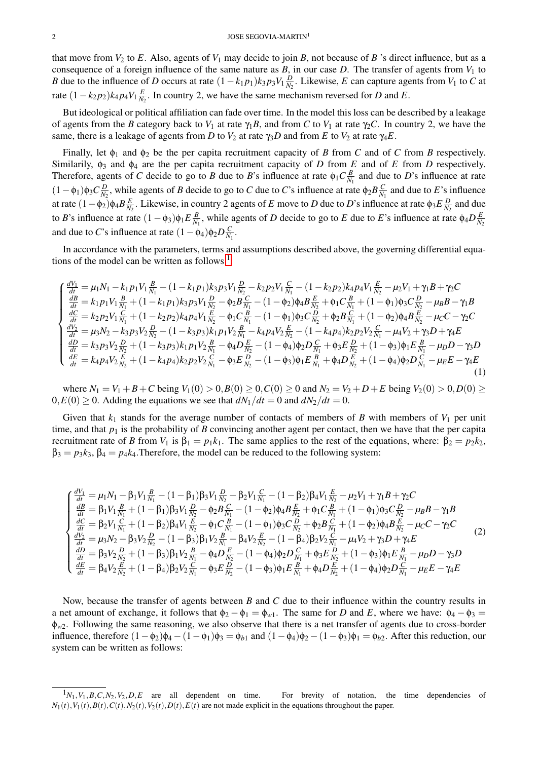that move from  $V_2$  to *E*. Also, agents of  $V_1$  may decide to join *B*, not because of *B* 's direct influence, but as a consequence of a foreign influence of the same nature as  $B$ , in our case  $D$ . The transfer of agents from  $V_1$  to *B* due to the influence of *D* occurs at rate  $(1 - k_1 p_1) k_3 p_3 V_1 \frac{D}{N_1}$  $\frac{D}{N_2}$ . Likewise, *E* can capture agents from *V*<sub>1</sub> to *C* at rate  $(1 - k_2 p_2) k_4 p_4 V_1 \frac{E}{N}$  $\frac{E}{N_2}$ . In country 2, we have the same mechanism reversed for *D* and *E*.

But ideological or political affiliation can fade over time. In the model this loss can be described by a leakage of agents from the *B* category back to  $V_1$  at rate  $\gamma_1 B$ , and from *C* to  $V_1$  at rate  $\gamma_2 C$ . In country 2, we have the same, there is a leakage of agents from *D* to  $V_2$  at rate  $\gamma_3 D$  and from *E* to  $V_2$  at rate  $\gamma_4 E$ .

Finally, let  $\phi_1$  and  $\phi_2$  be the per capita recruitment capacity of *B* from *C* and of *C* from *B* respectively. Similarily, φ<sup>3</sup> and φ<sup>4</sup> are the per capita recruitment capacity of *D* from *E* and of *E* from *D* respectively. Therefore, agents of *C* decide to go to *B* due to *B*'s influence at rate  $\phi_1 C \frac{B}{N}$  $\frac{B}{N_1}$  and due to *D*'s influence at rate  $(1 - \phi_1)\phi_3 C \frac{D}{N_2}$  $\frac{D}{N_2}$ , while agents of *B* decide to go to *C* due to *C*'s influence at rate  $\phi_2 B \frac{C}{N}$  $\frac{C}{N_1}$  and due to *E*'s influence at rate  $(1 - \phi_2)\phi_4 B \frac{E}{N}$  $\frac{E}{N_2}$ . Likewise, in country 2 agents of *E* move to *D* due to *D*'s influence at rate φ<sub>3</sub>*E*  $\frac{D}{N_2}$  $\frac{D}{N_2}$  and due to *B*'s influence at rate  $(1 - \phi_3)\phi_1 E \frac{B}{N}$  $\frac{B}{N_1}$ , while agents of *D* decide to go to *E* due to *E*'s influence at rate  $\phi_4 D \frac{E}{N_1}$ *N*2 and due to *C*'s influence at rate  $(1 - \phi_4)\phi_2 D \frac{C}{N}$  $\frac{C}{N_1}$ .

In accordance with the parameters, terms and assumptions described above, the governing differential equations of the model can be written as follows  $\frac{1}{1}$  $\frac{1}{1}$  $\frac{1}{1}$ :

$$
\begin{cases}\n\frac{dV_1}{dt} = \mu_1 N_1 - k_1 p_1 V_1 \frac{B}{N_1} - (1 - k_1 p_1) k_3 p_3 V_1 \frac{D}{N_2} - k_2 p_2 V_1 \frac{C}{N_1} - (1 - k_2 p_2) k_4 p_4 V_1 \frac{E}{N_2} - \mu_2 V_1 + \gamma_1 B + \gamma_2 C \\
\frac{dB}{dt} = k_1 p_1 V_1 \frac{B}{N_1} + (1 - k_1 p_1) k_3 p_3 V_1 \frac{D}{N_2} - \phi_2 B \frac{C}{N_1} - (1 - \phi_2) \phi_4 B \frac{E}{N_2} + \phi_1 C \frac{B}{N_1} + (1 - \phi_1) \phi_3 C \frac{D}{N_2} - \mu_B B - \gamma_1 B \\
\frac{dC}{dt} = k_2 p_2 V_1 \frac{C}{N_1} + (1 - k_2 p_2) k_4 p_4 V_1 \frac{E}{N_2} - \phi_1 C \frac{B}{N_1} - (1 - \phi_1) \phi_3 C \frac{D}{N_2} + \phi_2 B \frac{C}{N_1} + (1 - \phi_2) \phi_4 B \frac{E}{N_2} - \mu_C C - \gamma_2 C \\
\frac{dV_2}{dt} = \mu_3 N_2 - k_3 p_3 V_2 \frac{D}{N_2} - (1 - k_3 p_3) k_1 p_1 V_2 \frac{B}{N_1} - k_4 p_4 V_2 \frac{E}{N_2} - (1 - k_4 p_4) k_2 p_2 V_2 \frac{C}{N_1} - \mu_4 V_2 + \gamma_3 D + \gamma_4 E \\
\frac{dD}{dt} = k_3 p_3 V_2 \frac{D}{N_2} + (1 - k_3 p_3) k_1 p_1 V_2 \frac{B}{N_1} - \phi_4 D \frac{E}{N_2} - (1 - \phi_4) \phi_2 D \frac{C}{N_1} + \phi_3 E \frac{D}{N_2} + (1 - \phi_3) \phi_1 E \frac{B}{N_1} - \mu_D D - \gamma_3 D \\
\frac{dE}{dt} = k_4 p_4 V_2 \frac{E}{N_2} + (1 - k_4 p_4) k_2 p_2 V_2 \frac{C}{N
$$

where  $N_1 = V_1 + B + C$  being  $V_1(0) > 0, B(0) \ge 0, C(0) \ge 0$  and  $N_2 = V_2 + D + E$  being  $V_2(0) > 0, D(0) \ge 0$  $0, E(0) \ge 0$ . Adding the equations we see that  $dN_1/dt = 0$  and  $dN_2/dt = 0$ .

Given that  $k_1$  stands for the average number of contacts of members of *B* with members of  $V_1$  per unit time, and that  $p_1$  is the probability of *B* convincing another agent per contact, then we have that the per capita recruitment rate of *B* from *V*<sub>1</sub> is  $β_1 = p_1k_1$ . The same applies to the rest of the equations, where:  $β_2 = p_2k_2$ ,  $\beta_3 = p_3k_3$ ,  $\beta_4 = p_4k_4$ . Therefore, the model can be reduced to the following system:

$$
\begin{cases}\n\frac{dV_1}{dt} = \mu_1 N_1 - \beta_1 V_1 \frac{B}{N_1} - (1 - \beta_1) \beta_3 V_1 \frac{D}{N_2} - \beta_2 V_1 \frac{C}{N_1} - (1 - \beta_2) \beta_4 V_1 \frac{E}{N_2} - \mu_2 V_1 + \gamma_1 B + \gamma_2 C \\
\frac{dB}{dt} = \beta_1 V_1 \frac{B}{N_1} + (1 - \beta_1) \beta_3 V_1 \frac{D}{N_2} - \phi_2 B \frac{C}{N_1} - (1 - \phi_2) \phi_4 B \frac{E}{N_2} + \phi_1 C \frac{B}{N_1} + (1 - \phi_1) \phi_3 C \frac{D}{N_2} - \mu_B B - \gamma_1 B \\
\frac{dC}{dt} = \beta_2 V_1 \frac{C}{N_1} + (1 - \beta_2) \beta_4 V_1 \frac{E}{N_2} - \phi_1 C \frac{B}{N_1} - (1 - \phi_1) \phi_3 C \frac{D}{N_2} + \phi_2 B \frac{C}{N_1} + (1 - \phi_2) \phi_4 B \frac{E}{N_2} - \mu_C C - \gamma_2 C \\
\frac{dV_2}{dt} = \mu_3 N_2 - \beta_3 V_2 \frac{D}{N_2} - (1 - \beta_3) \beta_1 V_2 \frac{B}{N_1} - \beta_4 V_2 \frac{E}{N_2} - (1 - \beta_4) \beta_2 V_2 \frac{C}{N_1} - \mu_4 V_2 + \gamma_3 D + \gamma_4 E \\
\frac{dD}{dt} = \beta_3 V_2 \frac{D}{N_2} + (1 - \beta_3) \beta_1 V_2 \frac{B}{N_1} - \phi_4 D \frac{E}{N_2} - (1 - \phi_4) \phi_2 D \frac{C}{N_1} + \phi_3 E \frac{D}{N_2} + (1 - \phi_3) \phi_1 E \frac{B}{N_1} - \mu_D D - \gamma_3 D \\
\frac{dE}{dt} = \beta_4 V_2 \frac{E}{N_2} + (1 - \beta_4) \beta_2 V_2 \frac{C}{N_1} - \phi_3 E \frac{D}{N_2} - (1 - \phi_3) \phi_1 E \frac{B}{N_1} + \phi_4 D \
$$

Now, because the transfer of agents between *B* and *C* due to their influence within the country results in a net amount of exchange, it follows that  $\phi_2 - \phi_1 = \phi_{w1}$ . The same for *D* and *E*, where we have:  $\phi_4 - \phi_3 =$ φ*w*2. Following the same reasoning, we also observe that there is a net transfer of agents due to cross-border influence, therefore  $(1-\phi_2)\phi_4 - (1-\phi_1)\phi_3 = \phi_{b1}$  and  $(1-\phi_4)\phi_2 - (1-\phi_3)\phi_1 = \phi_{b2}$ . After this reduction, our system can be written as follows:

<span id="page-1-0"></span> ${}^{1}N_{1}$ ,  $V_{1}$ ,  $B$ ,  $C$ ,  $N_{2}$ ,  $V_{2}$ ,  $D$ ,  $E$  are all dependent on time. For brevity of notation, the time dependencies of  $N_1(t), V_1(t), B(t), C(t), N_2(t), V_2(t), D(t), E(t)$  are not made explicit in the equations throughout the paper.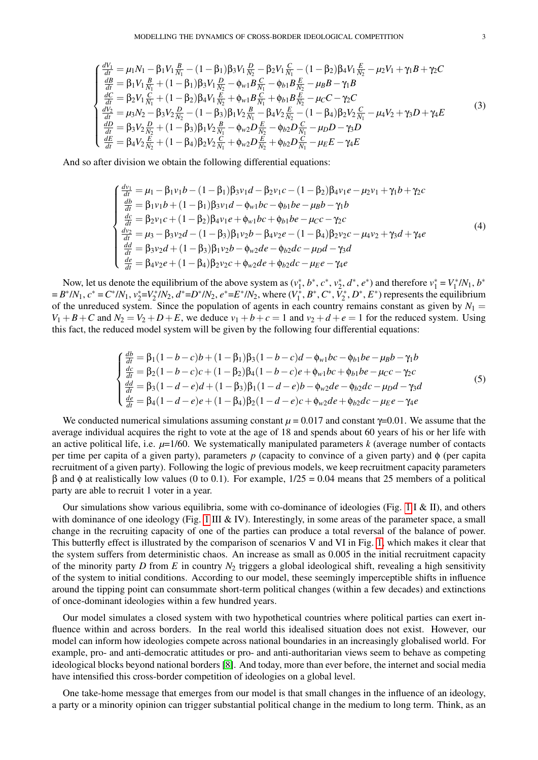$$
\begin{cases}\n\frac{dV_1}{dt} = \mu_1 N_1 - \beta_1 V_1 \frac{B}{N_1} - (1 - \beta_1) \beta_3 V_1 \frac{D}{N_2} - \beta_2 V_1 \frac{C}{N_1} - (1 - \beta_2) \beta_4 V_1 \frac{E}{N_2} - \mu_2 V_1 + \gamma_1 B + \gamma_2 C \\
\frac{dB}{dt} = \beta_1 V_1 \frac{B}{N_1} + (1 - \beta_1) \beta_3 V_1 \frac{D}{N_2} - \phi_{w1} B \frac{C}{N_1} - \phi_{b1} B \frac{E}{N_2} - \mu_B B - \gamma_1 B \\
\frac{dC}{dt} = \beta_2 V_1 \frac{C}{N_1} + (1 - \beta_2) \beta_4 V_1 \frac{E}{N_2} + \phi_{w1} B \frac{C}{N_1} + \phi_{b1} B \frac{E}{N_2} - \mu_C C - \gamma_2 C \\
\frac{dV_2}{dt} = \mu_3 N_2 - \beta_3 V_2 \frac{D}{N_2} - (1 - \beta_3) \beta_1 V_2 \frac{B}{N_1} - \beta_4 V_2 \frac{E}{N_2} - (1 - \beta_4) \beta_2 V_2 \frac{C}{N_1} - \mu_4 V_2 + \gamma_3 D + \gamma_4 E \\
\frac{dD}{dt} = \beta_3 V_2 \frac{D}{N_2} + (1 - \beta_3) \beta_1 V_2 \frac{B}{N_1} - \phi_{w2} D \frac{E}{N_2} - \phi_{b2} D \frac{C}{N_1} - \mu_D D - \gamma_3 D \\
\frac{dE}{dt} = \beta_4 V_2 \frac{E}{N_2} + (1 - \beta_4) \beta_2 V_2 \frac{C}{N_1} + \phi_{w2} D \frac{E}{N_2} + \phi_{b2} D \frac{C}{N_1} - \mu_E E - \gamma_4 E\n\end{cases} (3)
$$

And so after division we obtain the following differential equations:

$$
\begin{cases}\n\frac{dv_1}{dt} = \mu_1 - \beta_1 v_1 b - (1 - \beta_1) \beta_3 v_1 d - \beta_2 v_1 c - (1 - \beta_2) \beta_4 v_1 e - \mu_2 v_1 + \gamma_1 b + \gamma_2 c \\
\frac{db}{dt} = \beta_1 v_1 b + (1 - \beta_1) \beta_3 v_1 d - \phi_{w1} b c - \phi_{b1} b e - \mu_B b - \gamma_1 b \\
\frac{dc}{dt} = \beta_2 v_1 c + (1 - \beta_2) \beta_4 v_1 e + \phi_{w1} b c + \phi_{b1} b e - \mu_C c - \gamma_2 c \\
\frac{dv_2}{dt} = \mu_3 - \beta_3 v_2 d - (1 - \beta_3) \beta_1 v_2 b - \beta_4 v_2 e - (1 - \beta_4) \beta_2 v_2 c - \mu_4 v_2 + \gamma_3 d + \gamma_4 e \\
\frac{dd}{dt} = \beta_3 v_2 d + (1 - \beta_3) \beta_1 v_2 b - \phi_{w2} d e - \phi_{b2} d c - \mu_D d - \gamma_3 d \\
\frac{de}{dt} = \beta_4 v_2 e + (1 - \beta_4) \beta_2 v_2 c + \phi_{w2} d e + \phi_{b2} d c - \mu_E e - \gamma_4 e\n\end{cases}
$$
\n(4)

Now, let us denote the equilibrium of the above system as  $(v_1^*, b^*, c^*, v_2^*, d^*, e^*)$  and therefore  $v_1^* = V_1^* / N_1$ ,  $b^*$  $B^* / N_1$ ,  $c^* = C^* / N_1$ ,  $v_2^* = V_2^* / N_2$ ,  $d^* = D^* / N_2$ ,  $e^* = E^* / N_2$ , where  $(V_1^*, B^*, C^*, \bar{V}_2^*, D^*, E^*)$  represents the equilibrium of the unreduced system. Since the population of agents in each country remains constant as given by  $N_1 =$  $V_1 + B + C$  and  $N_2 = V_2 + D + E$ , we deduce  $v_1 + b + c = 1$  and  $v_2 + d + e = 1$  for the reduced system. Using this fact, the reduced model system will be given by the following four differential equations:

$$
\begin{cases}\n\frac{db}{dt} = \beta_1(1 - b - c)b + (1 - \beta_1)\beta_3(1 - b - c)d - \phi_{w1}bc - \phi_{b1}be - \mu_Bb - \gamma_1b \\
\frac{dc}{dt} = \beta_2(1 - b - c)c + (1 - \beta_2)\beta_4(1 - b - c)e + \phi_{w1}bc + \phi_{b1}be - \mu_Cc - \gamma_2c \\
\frac{dd}{dt} = \beta_3(1 - d - e)d + (1 - \beta_3)\beta_1(1 - d - e)b - \phi_{w2}de - \phi_{b2}dc - \mu_Dd - \gamma_3d \\
\frac{de}{dt} = \beta_4(1 - d - e)e + (1 - \beta_4)\beta_2(1 - d - e)c + \phi_{w2}de + \phi_{b2}dc - \mu_Ee - \gamma_4e\n\end{cases}
$$
\n(5)

We conducted numerical simulations assuming constant  $\mu$  = 0.017 and constant  $\gamma$ =0.01. We assume that the average individual acquires the right to vote at the age of 18 and spends about 60 years of his or her life with an active political life, i.e.  $\mu=1/60$ . We systematically manipulated parameters *k* (average number of contacts per time per capita of a given party), parameters *p* (capacity to convince of a given party) and φ (per capita recruitment of a given party). Following the logic of previous models, we keep recruitment capacity parameters β and φ at realistically low values (0 to 0.1). For example, 1/25 = 0.04 means that 25 members of a political party are able to recruit 1 voter in a year.

Our simulations show various equilibria, some with co-dominance of ideologies (Fig. [1](#page-3-0) I & II), and others with dominance of one ideology (Fig.  $1 \text{ III} \& \text{IV}$ ). Interestingly, in some areas of the parameter space, a small change in the recruiting capacity of one of the parties can produce a total reversal of the balance of power. This butterfly effect is illustrated by the comparison of scenarios V and VI in Fig. [1,](#page-3-0) which makes it clear that the system suffers from deterministic chaos. An increase as small as 0.005 in the initial recruitment capacity of the minority party *D* from *E* in country *N*<sup>2</sup> triggers a global ideological shift, revealing a high sensitivity of the system to initial conditions. According to our model, these seemingly imperceptible shifts in influence around the tipping point can consummate short-term political changes (within a few decades) and extinctions of once-dominant ideologies within a few hundred years.

Our model simulates a closed system with two hypothetical countries where political parties can exert influence within and across borders. In the real world this idealised situation does not exist. However, our model can inform how ideologies compete across national boundaries in an increasingly globalised world. For example, pro- and anti-democratic attitudes or pro- and anti-authoritarian views seem to behave as competing ideological blocks beyond national borders [\[8\]](#page-4-7). And today, more than ever before, the internet and social media have intensified this cross-border competition of ideologies on a global level.

One take-home message that emerges from our model is that small changes in the influence of an ideology, a party or a minority opinion can trigger substantial political change in the medium to long term. Think, as an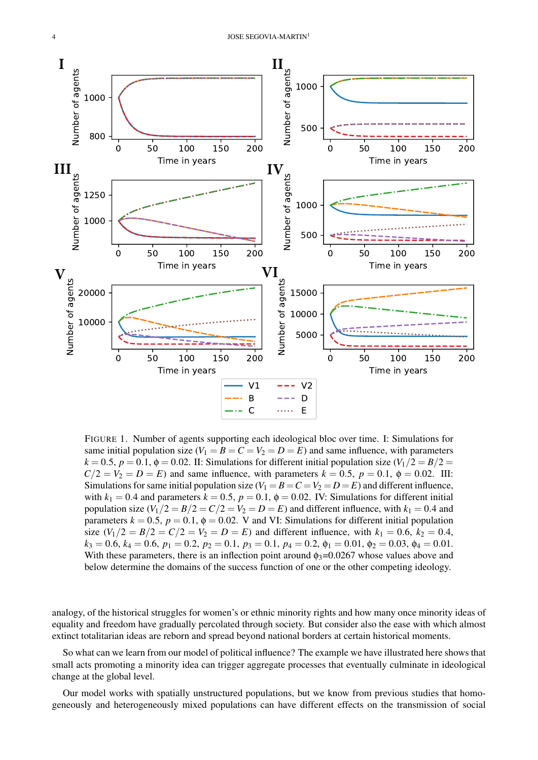

<span id="page-3-0"></span>FIGURE 1. Number of agents supporting each ideological bloc over time. I: Simulations for same initial population size  $(V_1 = B = C = V_2 = D = E)$  and same influence, with parameters  $k = 0.5$ ,  $p = 0.1$ ,  $\phi = 0.02$ . II: Simulations for different initial population size  $(V_1/2 = B/2 =$  $C/2 = V_2 = D = E$ ) and same influence, with parameters  $k = 0.5$ ,  $p = 0.1$ ,  $\phi = 0.02$ . III: Simulations for same initial population size  $(V_1 = B = C = V_2 = D = E)$  and different influence, with  $k_1 = 0.4$  and parameters  $k = 0.5$ ,  $p = 0.1$ ,  $\phi = 0.02$ . IV: Simulations for different initial population size  $(V_1/2 = B/2 = C/2 = V_2 = D = E)$  and different influence, with  $k_1 = 0.4$  and parameters  $k = 0.5$ ,  $p = 0.1$ ,  $\phi = 0.02$ . V and VI: Simulations for different initial population size  $(V_1/2 = B/2 = C/2 = V_2 = D = E)$  and different influence, with  $k_1 = 0.6$ ,  $k_2 = 0.4$ ,  $k_3 = 0.6$ ,  $k_4 = 0.6$ ,  $p_1 = 0.2$ ,  $p_2 = 0.1$ ,  $p_3 = 0.1$ ,  $p_4 = 0.2$ ,  $\phi_1 = 0.01$ ,  $\phi_2 = 0.03$ ,  $\phi_4 = 0.01$ . With these parameters, there is an inflection point around  $\phi_3$ =0.0267 whose values above and below determine the domains of the success function of one or the other competing ideology.

analogy, of the historical struggles for women's or ethnic minority rights and how many once minority ideas of equality and freedom have gradually percolated through society. But consider also the ease with which almost extinct totalitarian ideas are reborn and spread beyond national borders at certain historical moments.

So what can we learn from our model of political influence? The example we have illustrated here shows that small acts promoting a minority idea can trigger aggregate processes that eventually culminate in ideological change at the global level.

Our model works with spatially unstructured populations, but we know from previous studies that homogeneously and heterogeneously mixed populations can have different effects on the transmission of social